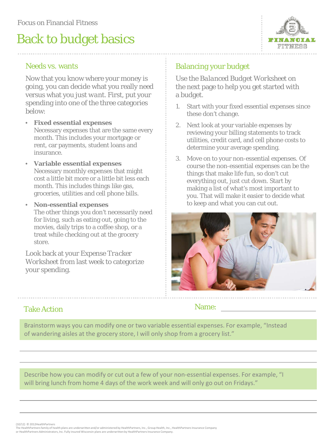# Back to budget basics



#### Needs vs. wants

Now that you know where your money is going, you can decide what you really *need*  versus what you just *want.* First, put your spending into one of the three categories below:

- **Fixed essential expenses** Necessary expenses that are the same every month. This includes your mortgage or rent, car payments, student loans and insurance.
- **Variable essential expenses**  Necessary monthly expenses that might cost a little bit more or a little bit less each month. This includes things like gas, groceries, utilities and cell phone bills.
- **Non-essential expenses** The other things you don't necessarily *need* for living, such as eating out, going to the movies, daily trips to a coffee shop, or a treat while checking out at the grocery store.

Look back at your *Expense Tracker Worksheet* from last week to categorize your spending.

### Balancing your budget

Use the *Balanced Budget Worksheet* on the next page to help you get started with a budget.

- 1. Start with your fixed essential expenses since these don't change.
- 2. Next look at your variable expenses by reviewing your billing statements to track utilities, credit card, and cell phone costs to determine your average spending.
- 3. Move on to your non-essential expenses. Of course the non-essential expenses can be the things that make life fun, so don't cut everything out, just cut down. Start by making a list of what's most important to you. That will make it easier to decide what to keep and what you can cut out.



### Take Action

Name:

Brainstorm ways you can modify one or two variable essential expenses. For example, "Instead of wandering aisles at the grocery store, I will only shop from a grocery list."

Describe how you can modify or cut out a few of your non-essential expenses. For example, "I will bring lunch from home 4 days of the work week and will only go out on Fridays."

(10/12) © 2012HealthPartners

The HealthPartners family of health plans are underwritten and/or administered by HealthPartners, Inc., Group Health, Inc., HealthPartners Insurance Company or HealthPartners Administrators, Inc. Fully insured Wisconsin plans are underwritten by HealthPartners Insurance Company.